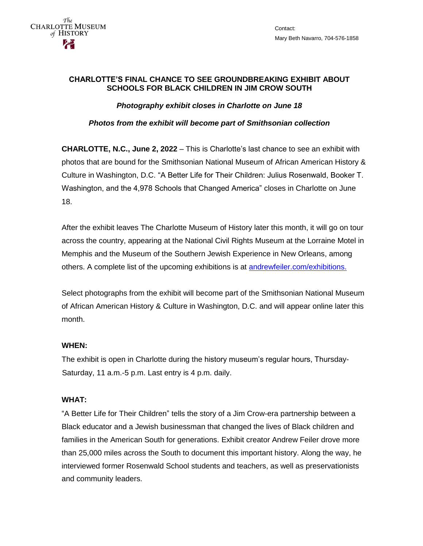#### **CHARLOTTE'S FINAL CHANCE TO SEE GROUNDBREAKING EXHIBIT ABOUT SCHOOLS FOR BLACK CHILDREN IN JIM CROW SOUTH**

*Photography exhibit closes in Charlotte on June 18*

*Photos from the exhibit will become part of Smithsonian collection*

**CHARLOTTE, N.C., June 2, 2022** – This is Charlotte's last chance to see an exhibit with photos that are bound for the Smithsonian National Museum of African American History & Culture in Washington, D.C. "A Better Life for Their Children: Julius Rosenwald, Booker T. Washington, and the 4,978 Schools that Changed America" closes in Charlotte on June 18.

After the exhibit leaves The Charlotte Museum of History later this month, it will go on tour across the country, appearing at the National Civil Rights Museum at the Lorraine Motel in Memphis and the Museum of the Southern Jewish Experience in New Orleans, among others. A complete list of the upcoming exhibitions is at [andrewfeiler.com/exhibitions.](https://www.andrewfeiler.com/exhibitions)

Select photographs from the exhibit will become part of the Smithsonian National Museum of African American History & Culture in Washington, D.C. and will appear online later this month.

## **WHEN:**

The exhibit is open in Charlotte during the history museum's regular hours, Thursday-Saturday, 11 a.m.-5 p.m. Last entry is 4 p.m. daily.

# **WHAT:**

"A Better Life for Their Children" tells the story of a Jim Crow-era partnership between a Black educator and a Jewish businessman that changed the lives of Black children and families in the American South for generations. Exhibit creator Andrew Feiler drove more than 25,000 miles across the South to document this important history. Along the way, he interviewed former Rosenwald School students and teachers, as well as preservationists and community leaders.